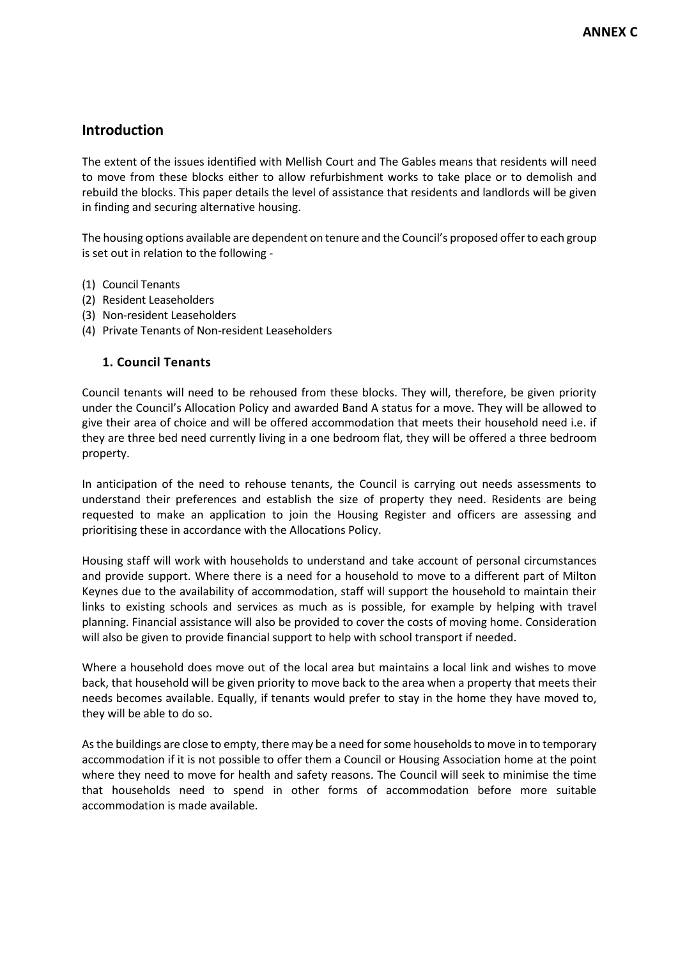# **Introduction**

The extent of the issues identified with Mellish Court and The Gables means that residents will need to move from these blocks either to allow refurbishment works to take place or to demolish and rebuild the blocks. This paper details the level of assistance that residents and landlords will be given in finding and securing alternative housing.

The housing options available are dependent on tenure and the Council's proposed offer to each group is set out in relation to the following -

- (1) Council Tenants
- (2) Resident Leaseholders
- (3) Non-resident Leaseholders
- (4) Private Tenants of Non-resident Leaseholders

# **1. Council Tenants**

Council tenants will need to be rehoused from these blocks. They will, therefore, be given priority under the Council's Allocation Policy and awarded Band A status for a move. They will be allowed to give their area of choice and will be offered accommodation that meets their household need i.e. if they are three bed need currently living in a one bedroom flat, they will be offered a three bedroom property.

In anticipation of the need to rehouse tenants, the Council is carrying out needs assessments to understand their preferences and establish the size of property they need. Residents are being requested to make an application to join the Housing Register and officers are assessing and prioritising these in accordance with the Allocations Policy.

Housing staff will work with households to understand and take account of personal circumstances and provide support. Where there is a need for a household to move to a different part of Milton Keynes due to the availability of accommodation, staff will support the household to maintain their links to existing schools and services as much as is possible, for example by helping with travel planning. Financial assistance will also be provided to cover the costs of moving home. Consideration will also be given to provide financial support to help with school transport if needed.

Where a household does move out of the local area but maintains a local link and wishes to move back, that household will be given priority to move back to the area when a property that meets their needs becomes available. Equally, if tenants would prefer to stay in the home they have moved to, they will be able to do so.

As the buildings are close to empty, there may be a need for some households to move in to temporary accommodation if it is not possible to offer them a Council or Housing Association home at the point where they need to move for health and safety reasons. The Council will seek to minimise the time that households need to spend in other forms of accommodation before more suitable accommodation is made available.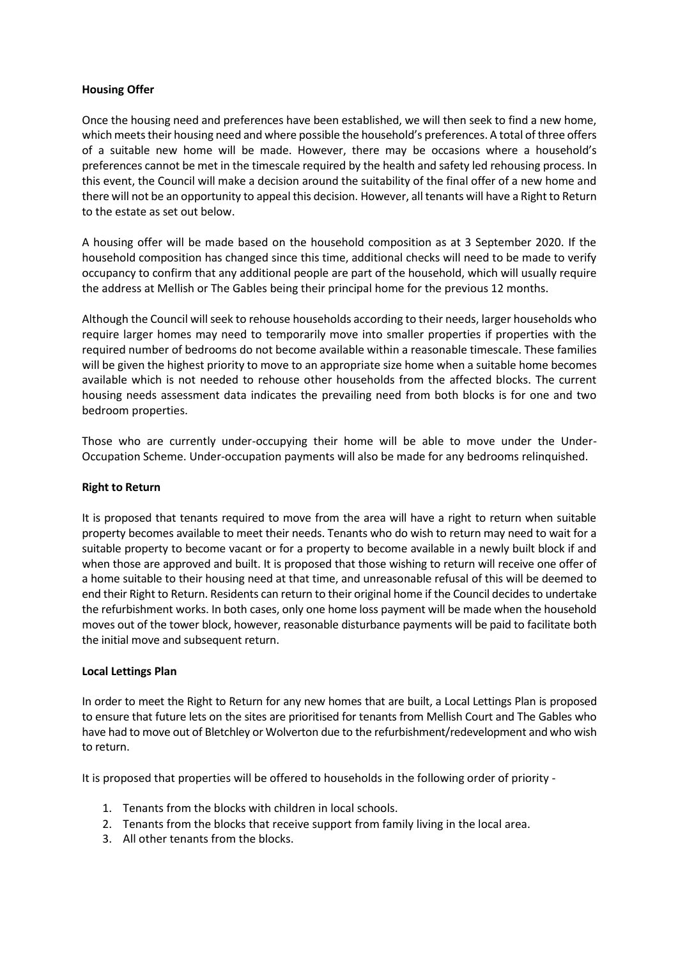#### **Housing Offer**

Once the housing need and preferences have been established, we will then seek to find a new home, which meets their housing need and where possible the household's preferences. A total of three offers of a suitable new home will be made. However, there may be occasions where a household's preferences cannot be met in the timescale required by the health and safety led rehousing process. In this event, the Council will make a decision around the suitability of the final offer of a new home and there will not be an opportunity to appeal this decision. However, all tenants will have a Right to Return to the estate as set out below.

A housing offer will be made based on the household composition as at 3 September 2020. If the household composition has changed since this time, additional checks will need to be made to verify occupancy to confirm that any additional people are part of the household, which will usually require the address at Mellish or The Gables being their principal home for the previous 12 months.

Although the Council will seek to rehouse households according to their needs, larger households who require larger homes may need to temporarily move into smaller properties if properties with the required number of bedrooms do not become available within a reasonable timescale. These families will be given the highest priority to move to an appropriate size home when a suitable home becomes available which is not needed to rehouse other households from the affected blocks. The current housing needs assessment data indicates the prevailing need from both blocks is for one and two bedroom properties.

Those who are currently under-occupying their home will be able to move under the Under-Occupation Scheme. Under-occupation payments will also be made for any bedrooms relinquished.

#### **Right to Return**

It is proposed that tenants required to move from the area will have a right to return when suitable property becomes available to meet their needs. Tenants who do wish to return may need to wait for a suitable property to become vacant or for a property to become available in a newly built block if and when those are approved and built. It is proposed that those wishing to return will receive one offer of a home suitable to their housing need at that time, and unreasonable refusal of this will be deemed to end their Right to Return. Residents can return to their original home if the Council decides to undertake the refurbishment works. In both cases, only one home loss payment will be made when the household moves out of the tower block, however, reasonable disturbance payments will be paid to facilitate both the initial move and subsequent return.

#### **Local Lettings Plan**

In order to meet the Right to Return for any new homes that are built, a Local Lettings Plan is proposed to ensure that future lets on the sites are prioritised for tenants from Mellish Court and The Gables who have had to move out of Bletchley or Wolverton due to the refurbishment/redevelopment and who wish to return.

It is proposed that properties will be offered to households in the following order of priority -

- 1. Tenants from the blocks with children in local schools.
- 2. Tenants from the blocks that receive support from family living in the local area.
- 3. All other tenants from the blocks.